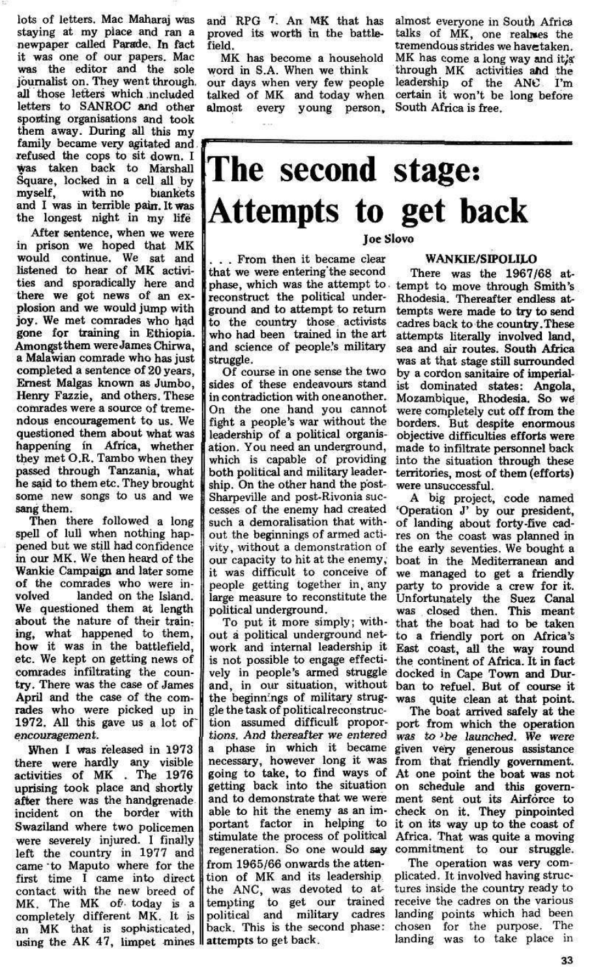Then there followed a long spell of lull when nothing happened but we still had confidence in our MK. We then heard of the Wankie Campaign and later some of the comrades who were involved landed on the Island. We questioned them at length about the nature of their training, what happened to them, how it was in the battlefield, etc. We kept on getting news of comrades infiltrating the country. There was the case of James April and the case of the comrades who were picked up in 1972. All this gave us a lot of encouragement. When 1 was released in 1973 there were hardly any visible activities of MK . The 1976 uprising took place and shortly after there was the handgrenade incident on the border with Swaziland where two policemen were severely injured. I finally left the country in 1977 and came "to Maputo where for the first time I came into direct contact with the new breed of MK. The MK of', today is a completely different MK. It is an MK that is sophisticated, an MK that is sophisticated, back. This is the see

lots of letters. Mac Maharaj was staying at my place and ran a newpaper called Parade, In fact it was one of our papers. Mac was the editor and the sole journalist on. They went through, all those letters which included letters to SANROC and other sporting organisations and took them away. During all this my family became very agitated and family became very agitated and. refused the cops to sit down. I was taken back to Marshall Square, locked in a cell all by<br>myself, with no blankets myself, with no blankets and I was in terrible pain. It was

After sentence, when we were in prison we hoped that MK would continue. We sat and listened to hear of MK activities and sporadically here and there we got news of an explosion and we would jump with joy. We met comrades who had gone for training in Ethiopia. Amongstthem were James Chirwa, a Malawian comrade who has just completed a sentence of 20 years, Ernest Malgas known as Jumbo, Henry Fazzie, and others. These comrades were a source of tremendous encouragement to us. We questioned them about what was happening in Africa, whether they met O.R. Tambo when they passed through Tanzania, what he said to them etc. They brought some new songs to us and we sang them.

## The second stage: (Attempts to get back Joe Slovo

Of course in one sense the two sides of these endeavours stand in contradiction with oneanother. On the one hand you cannot fight a people's war without the leadership of a political organisation. You need an underground, which is capable of providing with the capable of providing<br>both political and military leaderboth political and immaly leader-<br>ship. On the other hand the postship. On the other hand the post-Sharpeville and post-Rivonia successes of the enemy had created such a demoralisation that without the beginnings of armed activity, without a demonstration of our capacity to hit at the enemy, it was difficult to conceive of people getting together in any large measure to reconstitute the political underground.

and RPG 7. An MK that has proved its worth in the battlefield.

MK has become a household word in S.A. When we think our days when very few people talked of MK and today when almost every young person.

almost everyone in South Africa talks of MK, one realwes the tremendous strides we havetaken. MK has come a long way and it's through MK activities and the leadership of the ANC I'm certain it won't be long before South Africa is free.

. . . From then it became clear that we were entering the second phase, which was the attempt to. reconstruct the political underground and to attempt to return to the country those, activists who had been trained in the art and science of people's military struggle.

To put it more simply; without a political underground network and internal leadership it vely in people's armed struggle docked in Cape Town and Durand, in our situation, without gle the task of political reconstruction assumed difficult proportions. And thereafter we entered a phase in which it became necessary, however long it was going to take, to find ways of getting back into the situation on schedule and this governable to hit the enemy as an important factor in helping to it on its way up to the coast of stimulate the process of political regeneration. So one would say from 1965/66 onwards the attention of MK and its leadership the ANC, was devoted to attempting to get our trained political and military cadres back. This is the second phase:

WANKIE/SIPOLILO There was the 1967/68 attempt to move through Smith's Rhodesia. Thereafter endless attempts were made to try to send cadres back to the country.These attempts literally involved land, sea and air routes. South Africa was at that stage still surrounded by a cordon sanitaire of imperialby a cordon samtaire or imperial-<br>ist dominated states: Angola ist uominateu states. Angola,<br>Mozambique, Phodesia. So we Mozambique, Rhodesia. So we were completely cut off from the borders. But despite enormous objective difficulties efforts were made to infiltrate personnel back into the situation through these territories, most of them (efforts) were unsuccessful.

is not possible to engage effecti-the continent of Africa. It in fact the beginnings of military strug-was quite clean at that point. and to demonstrate that we were ment sent out its Airforce to A big project, code named 'Operation J' by our president, of landing about forty-five cadres on the coast was planned in the early seventies. We bought a boat in the Mediterranean and we managed to get a friendly party to provide a crew for it. Unfortunately the Suez Canal was closed then. This meant that the boat had to be taken to a friendly port on Africa's East coast, all the way round ban to refuel. But of course it The boat arrived safely at the port from which the operation was to »be launched. We were given very generous assistance from that friendly government. At one point the boat was not check on it. They pinpointed Africa. That was quite a moving commitment to our struggle. The operation was very complicated. It involved having structures inside the country ready to receive the cadres on the various landing points which had been chosen for the purpose. The landing was to take place in